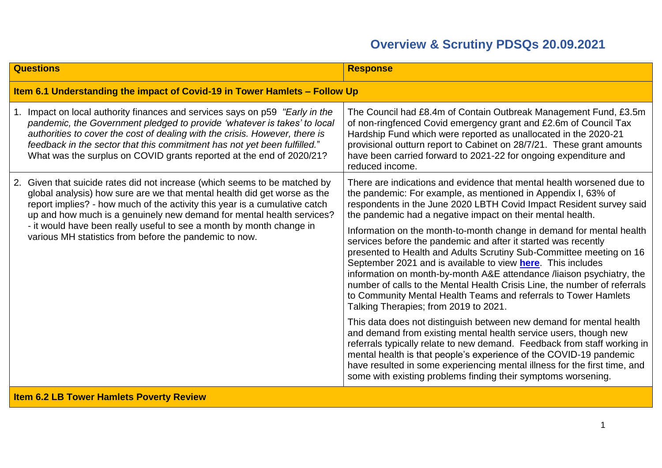| <b>Questions</b>                                                                                                                                                                                                                                                                                                                                                                                                                                | <b>Response</b>                                                                                                                                                                                                                                                                                                                                                                                                                                                                                                                                        |
|-------------------------------------------------------------------------------------------------------------------------------------------------------------------------------------------------------------------------------------------------------------------------------------------------------------------------------------------------------------------------------------------------------------------------------------------------|--------------------------------------------------------------------------------------------------------------------------------------------------------------------------------------------------------------------------------------------------------------------------------------------------------------------------------------------------------------------------------------------------------------------------------------------------------------------------------------------------------------------------------------------------------|
| Item 6.1 Understanding the impact of Covid-19 in Tower Hamlets - Follow Up                                                                                                                                                                                                                                                                                                                                                                      |                                                                                                                                                                                                                                                                                                                                                                                                                                                                                                                                                        |
| 1. Impact on local authority finances and services says on p59 "Early in the<br>pandemic, the Government pledged to provide 'whatever is takes' to local<br>authorities to cover the cost of dealing with the crisis. However, there is<br>feedback in the sector that this commitment has not yet been fulfilled."<br>What was the surplus on COVID grants reported at the end of 2020/21?                                                     | The Council had £8.4m of Contain Outbreak Management Fund, £3.5m<br>of non-ringfenced Covid emergency grant and £2.6m of Council Tax<br>Hardship Fund which were reported as unallocated in the 2020-21<br>provisional outturn report to Cabinet on 28/7/21. These grant amounts<br>have been carried forward to 2021-22 for ongoing expenditure and<br>reduced income.                                                                                                                                                                                |
| 2. Given that suicide rates did not increase (which seems to be matched by<br>global analysis) how sure are we that mental health did get worse as the<br>report implies? - how much of the activity this year is a cumulative catch<br>up and how much is a genuinely new demand for mental health services?<br>- it would have been really useful to see a month by month change in<br>various MH statistics from before the pandemic to now. | There are indications and evidence that mental health worsened due to<br>the pandemic: For example, as mentioned in Appendix I, 63% of<br>respondents in the June 2020 LBTH Covid Impact Resident survey said<br>the pandemic had a negative impact on their mental health.                                                                                                                                                                                                                                                                            |
|                                                                                                                                                                                                                                                                                                                                                                                                                                                 | Information on the month-to-month change in demand for mental health<br>services before the pandemic and after it started was recently<br>presented to Health and Adults Scrutiny Sub-Committee meeting on 16<br>September 2021 and is available to view <b>here</b> . This includes<br>information on month-by-month A&E attendance /liaison psychiatry, the<br>number of calls to the Mental Health Crisis Line, the number of referrals<br>to Community Mental Health Teams and referrals to Tower Hamlets<br>Talking Therapies; from 2019 to 2021. |
|                                                                                                                                                                                                                                                                                                                                                                                                                                                 | This data does not distinguish between new demand for mental health<br>and demand from existing mental health service users, though new<br>referrals typically relate to new demand. Feedback from staff working in<br>mental health is that people's experience of the COVID-19 pandemic<br>have resulted in some experiencing mental illness for the first time, and<br>some with existing problems finding their symptoms worsening.                                                                                                                |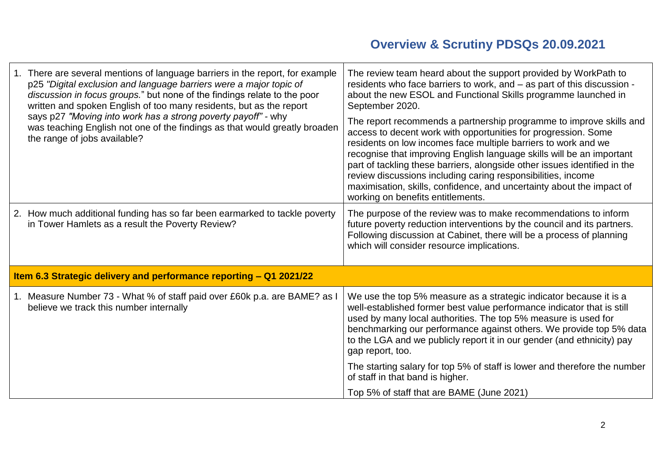| 1. There are several mentions of language barriers in the report, for example<br>p25 "Digital exclusion and language barriers were a major topic of<br>discussion in focus groups." but none of the findings relate to the poor<br>written and spoken English of too many residents, but as the report<br>says p27 "Moving into work has a strong poverty payoff" - why<br>was teaching English not one of the findings as that would greatly broaden<br>the range of jobs available? | The review team heard about the support provided by WorkPath to<br>residents who face barriers to work, and - as part of this discussion -<br>about the new ESOL and Functional Skills programme launched in<br>September 2020.                                                                                                                                                                                                                                                                                                             |
|---------------------------------------------------------------------------------------------------------------------------------------------------------------------------------------------------------------------------------------------------------------------------------------------------------------------------------------------------------------------------------------------------------------------------------------------------------------------------------------|---------------------------------------------------------------------------------------------------------------------------------------------------------------------------------------------------------------------------------------------------------------------------------------------------------------------------------------------------------------------------------------------------------------------------------------------------------------------------------------------------------------------------------------------|
|                                                                                                                                                                                                                                                                                                                                                                                                                                                                                       | The report recommends a partnership programme to improve skills and<br>access to decent work with opportunities for progression. Some<br>residents on low incomes face multiple barriers to work and we<br>recognise that improving English language skills will be an important<br>part of tackling these barriers, alongside other issues identified in the<br>review discussions including caring responsibilities, income<br>maximisation, skills, confidence, and uncertainty about the impact of<br>working on benefits entitlements. |
| 2. How much additional funding has so far been earmarked to tackle poverty<br>in Tower Hamlets as a result the Poverty Review?                                                                                                                                                                                                                                                                                                                                                        | The purpose of the review was to make recommendations to inform<br>future poverty reduction interventions by the council and its partners.<br>Following discussion at Cabinet, there will be a process of planning<br>which will consider resource implications.                                                                                                                                                                                                                                                                            |
| Item 6.3 Strategic delivery and performance reporting - Q1 2021/22                                                                                                                                                                                                                                                                                                                                                                                                                    |                                                                                                                                                                                                                                                                                                                                                                                                                                                                                                                                             |
| 1. Measure Number 73 - What % of staff paid over £60k p.a. are BAME? as I<br>believe we track this number internally                                                                                                                                                                                                                                                                                                                                                                  | We use the top 5% measure as a strategic indicator because it is a<br>well-established former best value performance indicator that is still<br>used by many local authorities. The top 5% measure is used for<br>benchmarking our performance against others. We provide top 5% data<br>to the LGA and we publicly report it in our gender (and ethnicity) pay<br>gap report, too.                                                                                                                                                         |
|                                                                                                                                                                                                                                                                                                                                                                                                                                                                                       | The starting salary for top 5% of staff is lower and therefore the number<br>of staff in that band is higher.                                                                                                                                                                                                                                                                                                                                                                                                                               |
|                                                                                                                                                                                                                                                                                                                                                                                                                                                                                       | Top 5% of staff that are BAME (June 2021)                                                                                                                                                                                                                                                                                                                                                                                                                                                                                                   |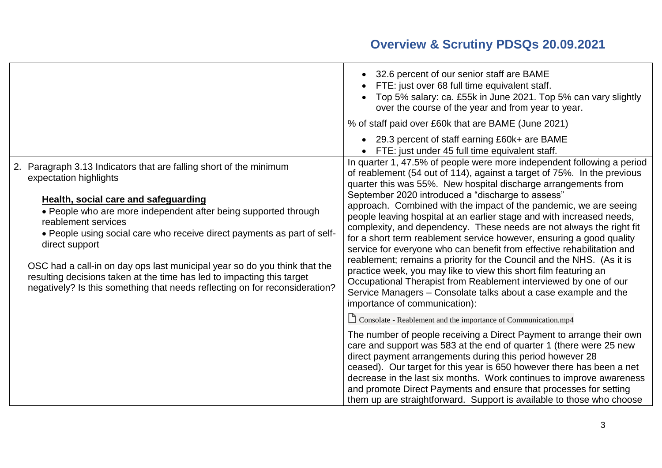|                                                                                                                                                                                                                                                                                                                                                                                                                                                                                                                                                                | • 32.6 percent of our senior staff are BAME<br>FTE: just over 68 full time equivalent staff.<br>Top 5% salary: ca. £55k in June 2021. Top 5% can vary slightly<br>over the course of the year and from year to year.<br>% of staff paid over £60k that are BAME (June 2021)                                                                                                                                                                                                                                                                                                                                                                                                                                                                                                                                                                                                                                                                                                                                                                                               |
|----------------------------------------------------------------------------------------------------------------------------------------------------------------------------------------------------------------------------------------------------------------------------------------------------------------------------------------------------------------------------------------------------------------------------------------------------------------------------------------------------------------------------------------------------------------|---------------------------------------------------------------------------------------------------------------------------------------------------------------------------------------------------------------------------------------------------------------------------------------------------------------------------------------------------------------------------------------------------------------------------------------------------------------------------------------------------------------------------------------------------------------------------------------------------------------------------------------------------------------------------------------------------------------------------------------------------------------------------------------------------------------------------------------------------------------------------------------------------------------------------------------------------------------------------------------------------------------------------------------------------------------------------|
| Paragraph 3.13 Indicators that are falling short of the minimum<br>expectation highlights<br>Health, social care and safeguarding<br>• People who are more independent after being supported through<br>reablement services<br>• People using social care who receive direct payments as part of self-<br>direct support<br>OSC had a call-in on day ops last municipal year so do you think that the<br>resulting decisions taken at the time has led to impacting this target<br>negatively? Is this something that needs reflecting on for reconsideration? | • 29.3 percent of staff earning £60k+ are BAME<br>FTE: just under 45 full time equivalent staff.<br>In quarter 1, 47.5% of people were more independent following a period<br>of reablement (54 out of 114), against a target of 75%. In the previous<br>quarter this was 55%. New hospital discharge arrangements from<br>September 2020 introduced a "discharge to assess"<br>approach. Combined with the impact of the pandemic, we are seeing<br>people leaving hospital at an earlier stage and with increased needs,<br>complexity, and dependency. These needs are not always the right fit<br>for a short term reablement service however, ensuring a good quality<br>service for everyone who can benefit from effective rehabilitation and<br>reablement; remains a priority for the Council and the NHS. (As it is<br>practice week, you may like to view this short film featuring an<br>Occupational Therapist from Reablement interviewed by one of our<br>Service Managers - Consolate talks about a case example and the<br>importance of communication): |
|                                                                                                                                                                                                                                                                                                                                                                                                                                                                                                                                                                | $\Box$ Consolate - Reablement and the importance of Communication.mp4<br>The number of people receiving a Direct Payment to arrange their own<br>care and support was 583 at the end of quarter 1 (there were 25 new<br>direct payment arrangements during this period however 28<br>ceased). Our target for this year is 650 however there has been a net<br>decrease in the last six months. Work continues to improve awareness<br>and promote Direct Payments and ensure that processes for setting<br>them up are straightforward. Support is available to those who choose                                                                                                                                                                                                                                                                                                                                                                                                                                                                                          |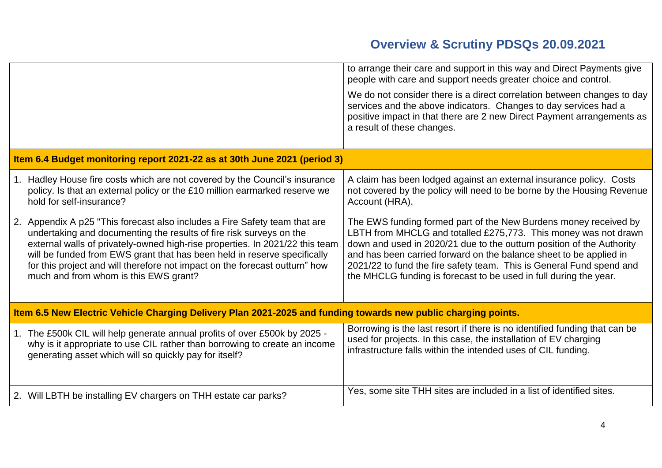|                                                                                                                |                                                                                                                                                                                                                                                                                                                                                                                                                                       | to arrange their care and support in this way and Direct Payments give<br>people with care and support needs greater choice and control.<br>We do not consider there is a direct correlation between changes to day<br>services and the above indicators. Changes to day services had a<br>positive impact in that there are 2 new Direct Payment arrangements as<br>a result of these changes.                                 |
|----------------------------------------------------------------------------------------------------------------|---------------------------------------------------------------------------------------------------------------------------------------------------------------------------------------------------------------------------------------------------------------------------------------------------------------------------------------------------------------------------------------------------------------------------------------|---------------------------------------------------------------------------------------------------------------------------------------------------------------------------------------------------------------------------------------------------------------------------------------------------------------------------------------------------------------------------------------------------------------------------------|
|                                                                                                                | Item 6.4 Budget monitoring report 2021-22 as at 30th June 2021 (period 3)                                                                                                                                                                                                                                                                                                                                                             |                                                                                                                                                                                                                                                                                                                                                                                                                                 |
|                                                                                                                | 1. Hadley House fire costs which are not covered by the Council's insurance<br>policy. Is that an external policy or the £10 million earmarked reserve we<br>hold for self-insurance?                                                                                                                                                                                                                                                 | A claim has been lodged against an external insurance policy. Costs<br>not covered by the policy will need to be borne by the Housing Revenue<br>Account (HRA).                                                                                                                                                                                                                                                                 |
|                                                                                                                | 2. Appendix A p25 "This forecast also includes a Fire Safety team that are<br>undertaking and documenting the results of fire risk surveys on the<br>external walls of privately-owned high-rise properties. In 2021/22 this team<br>will be funded from EWS grant that has been held in reserve specifically<br>for this project and will therefore not impact on the forecast outturn" how<br>much and from whom is this EWS grant? | The EWS funding formed part of the New Burdens money received by<br>LBTH from MHCLG and totalled £275,773. This money was not drawn<br>down and used in 2020/21 due to the outturn position of the Authority<br>and has been carried forward on the balance sheet to be applied in<br>2021/22 to fund the fire safety team. This is General Fund spend and<br>the MHCLG funding is forecast to be used in full during the year. |
| Item 6.5 New Electric Vehicle Charging Delivery Plan 2021-2025 and funding towards new public charging points. |                                                                                                                                                                                                                                                                                                                                                                                                                                       |                                                                                                                                                                                                                                                                                                                                                                                                                                 |
|                                                                                                                | 1. The £500k CIL will help generate annual profits of over £500k by 2025 -<br>why is it appropriate to use CIL rather than borrowing to create an income<br>generating asset which will so quickly pay for itself?                                                                                                                                                                                                                    | Borrowing is the last resort if there is no identified funding that can be<br>used for projects. In this case, the installation of EV charging<br>infrastructure falls within the intended uses of CIL funding.                                                                                                                                                                                                                 |
|                                                                                                                | 2. Will LBTH be installing EV chargers on THH estate car parks?                                                                                                                                                                                                                                                                                                                                                                       | Yes, some site THH sites are included in a list of identified sites.                                                                                                                                                                                                                                                                                                                                                            |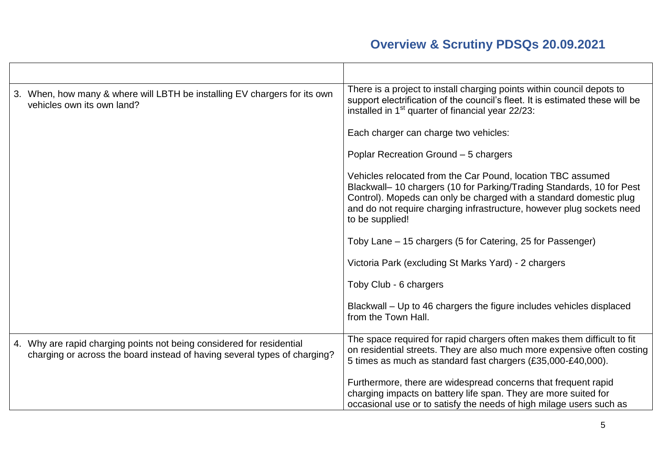| 3. When, how many & where will LBTH be installing EV chargers for its own<br>vehicles own its own land?                                            | There is a project to install charging points within council depots to<br>support electrification of the council's fleet. It is estimated these will be<br>installed in 1 <sup>st</sup> quarter of financial year 22/23:                                                                              |
|----------------------------------------------------------------------------------------------------------------------------------------------------|-------------------------------------------------------------------------------------------------------------------------------------------------------------------------------------------------------------------------------------------------------------------------------------------------------|
|                                                                                                                                                    | Each charger can charge two vehicles:                                                                                                                                                                                                                                                                 |
|                                                                                                                                                    | Poplar Recreation Ground - 5 chargers                                                                                                                                                                                                                                                                 |
|                                                                                                                                                    | Vehicles relocated from the Car Pound, location TBC assumed<br>Blackwall-10 chargers (10 for Parking/Trading Standards, 10 for Pest<br>Control). Mopeds can only be charged with a standard domestic plug<br>and do not require charging infrastructure, however plug sockets need<br>to be supplied! |
|                                                                                                                                                    | Toby Lane - 15 chargers (5 for Catering, 25 for Passenger)                                                                                                                                                                                                                                            |
|                                                                                                                                                    | Victoria Park (excluding St Marks Yard) - 2 chargers                                                                                                                                                                                                                                                  |
|                                                                                                                                                    | Toby Club - 6 chargers                                                                                                                                                                                                                                                                                |
|                                                                                                                                                    | Blackwall - Up to 46 chargers the figure includes vehicles displaced<br>from the Town Hall.                                                                                                                                                                                                           |
| 4. Why are rapid charging points not being considered for residential<br>charging or across the board instead of having several types of charging? | The space required for rapid chargers often makes them difficult to fit<br>on residential streets. They are also much more expensive often costing<br>5 times as much as standard fast chargers (£35,000-£40,000).                                                                                    |
|                                                                                                                                                    | Furthermore, there are widespread concerns that frequent rapid<br>charging impacts on battery life span. They are more suited for<br>occasional use or to satisfy the needs of high milage users such as                                                                                              |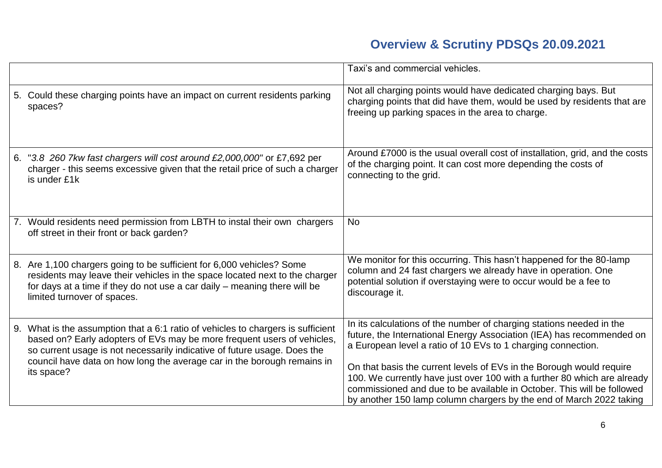|    |                                                                                                                                                                                                                                                                                                                                  | Taxi's and commercial vehicles.                                                                                                                                                                                                                                                                                                                                                                                                                                                                                    |
|----|----------------------------------------------------------------------------------------------------------------------------------------------------------------------------------------------------------------------------------------------------------------------------------------------------------------------------------|--------------------------------------------------------------------------------------------------------------------------------------------------------------------------------------------------------------------------------------------------------------------------------------------------------------------------------------------------------------------------------------------------------------------------------------------------------------------------------------------------------------------|
|    | 5. Could these charging points have an impact on current residents parking<br>spaces?                                                                                                                                                                                                                                            | Not all charging points would have dedicated charging bays. But<br>charging points that did have them, would be used by residents that are<br>freeing up parking spaces in the area to charge.                                                                                                                                                                                                                                                                                                                     |
|    | 6. "3.8 260 7kw fast chargers will cost around £2,000,000" or £7,692 per<br>charger - this seems excessive given that the retail price of such a charger<br>is under £1k                                                                                                                                                         | Around £7000 is the usual overall cost of installation, grid, and the costs<br>of the charging point. It can cost more depending the costs of<br>connecting to the grid.                                                                                                                                                                                                                                                                                                                                           |
| 7. | Would residents need permission from LBTH to instal their own chargers<br>off street in their front or back garden?                                                                                                                                                                                                              | <b>No</b>                                                                                                                                                                                                                                                                                                                                                                                                                                                                                                          |
|    | 8. Are 1,100 chargers going to be sufficient for 6,000 vehicles? Some<br>residents may leave their vehicles in the space located next to the charger<br>for days at a time if they do not use a car daily - meaning there will be<br>limited turnover of spaces.                                                                 | We monitor for this occurring. This hasn't happened for the 80-lamp<br>column and 24 fast chargers we already have in operation. One<br>potential solution if overstaying were to occur would be a fee to<br>discourage it.                                                                                                                                                                                                                                                                                        |
|    | 9. What is the assumption that a 6:1 ratio of vehicles to chargers is sufficient<br>based on? Early adopters of EVs may be more frequent users of vehicles,<br>so current usage is not necessarily indicative of future usage. Does the<br>council have data on how long the average car in the borough remains in<br>its space? | In its calculations of the number of charging stations needed in the<br>future, the International Energy Association (IEA) has recommended on<br>a European level a ratio of 10 EVs to 1 charging connection.<br>On that basis the current levels of EVs in the Borough would require<br>100. We currently have just over 100 with a further 80 which are already<br>commissioned and due to be available in October. This will be followed<br>by another 150 lamp column chargers by the end of March 2022 taking |